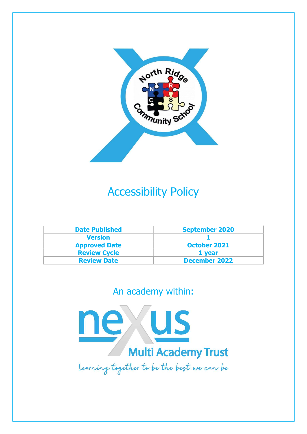

## Accessibility Policy

| <b>Date Published</b> | <b>September 2020</b> |  |
|-----------------------|-----------------------|--|
| <b>Version</b>        |                       |  |
| <b>Approved Date</b>  | <b>October 2021</b>   |  |
| <b>Review Cycle</b>   | 1 year                |  |
| <b>Review Date</b>    | <b>December 2022</b>  |  |

### An academy within:

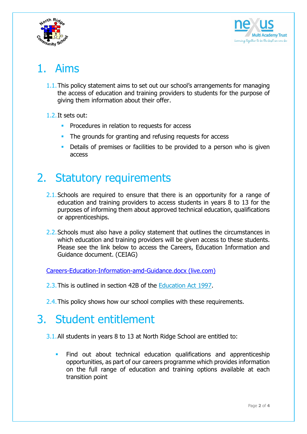



# 1. Aims

- 1.1.This policy statement aims to set out our school's arrangements for managing the access of education and training providers to students for the purpose of giving them information about their offer.
- 1.2.It sets out:
	- **Procedures in relation to requests for access**
	- The grounds for granting and refusing requests for access
	- Details of premises or facilities to be provided to a person who is given access

### 2. Statutory requirements

- 2.1. Schools are required to ensure that there is an opportunity for a range of education and training providers to access students in years 8 to 13 for the purposes of informing them about approved technical education, qualifications or apprenticeships.
- 2.2. Schools must also have a policy statement that outlines the circumstances in which education and training providers will be given access to these students. Please see the link below to access the Careers, Education Information and Guidance document. (CEIAG)

Careers-Education-Information-amd-Guidance.docx (live.com)

- 2.3.This is outlined in section 42B of the Education Act 1997.
- 2.4. This policy shows how our school complies with these requirements.

### 3. Student entitlement

- 3.1.All students in years 8 to 13 at North Ridge School are entitled to:
	- Find out about technical education qualifications and apprenticeship opportunities, as part of our careers programme which provides information on the full range of education and training options available at each transition point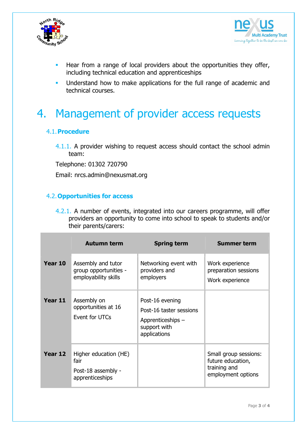



- Hear from a range of local providers about the opportunities they offer, including technical education and apprenticeships
- Understand how to make applications for the full range of academic and technical courses.

## 4. Management of provider access requests

#### 4.1.Procedure

4.1.1. A provider wishing to request access should contact the school admin team:

Telephone: 01302 720790

Email: nrcs.admin@nexusmat.org

#### 4.2.Opportunities for access

4.2.1. A number of events, integrated into our careers programme, will offer providers an opportunity to come into school to speak to students and/or their parents/carers:

|         | <b>Autumn term</b>                                                     | <b>Spring term</b>                                                                              | <b>Summer term</b>                                                               |
|---------|------------------------------------------------------------------------|-------------------------------------------------------------------------------------------------|----------------------------------------------------------------------------------|
| Year 10 | Assembly and tutor<br>group opportunities -<br>employability skills    | Networking event with<br>providers and<br>employers                                             | Work experience<br>preparation sessions<br>Work experience                       |
| Year 11 | Assembly on<br>opportunities at 16<br>Event for UTCs                   | Post-16 evening<br>Post-16 taster sessions<br>Apprenticeships -<br>support with<br>applications |                                                                                  |
| Year 12 | Higher education (HE)<br>fair<br>Post-18 assembly -<br>apprenticeships |                                                                                                 | Small group sessions:<br>future education,<br>training and<br>employment options |